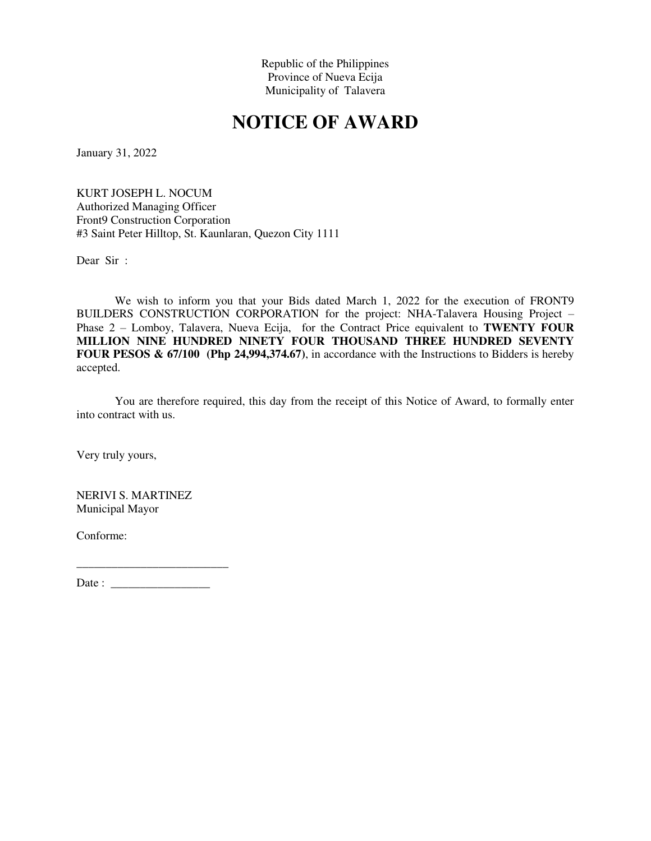## **NOTICE OF AWARD**

January 31, 2022

KURT JOSEPH L. NOCUM Authorized Managing Officer Front9 Construction Corporation #3 Saint Peter Hilltop, St. Kaunlaran, Quezon City 1111

Dear Sir :

We wish to inform you that your Bids dated March 1, 2022 for the execution of FRONT9 BUILDERS CONSTRUCTION CORPORATION for the project: NHA-Talavera Housing Project – Phase 2 – Lomboy, Talavera, Nueva Ecija, for the Contract Price equivalent to **TWENTY FOUR MILLION NINE HUNDRED NINETY FOUR THOUSAND THREE HUNDRED SEVENTY FOUR PESOS & 67/100 (Php 24,994,374.67)**, in accordance with the Instructions to Bidders is hereby accepted.

You are therefore required, this day from the receipt of this Notice of Award, to formally enter into contract with us.

Very truly yours,

NERIVI S. MARTINEZ Municipal Mayor

Conforme: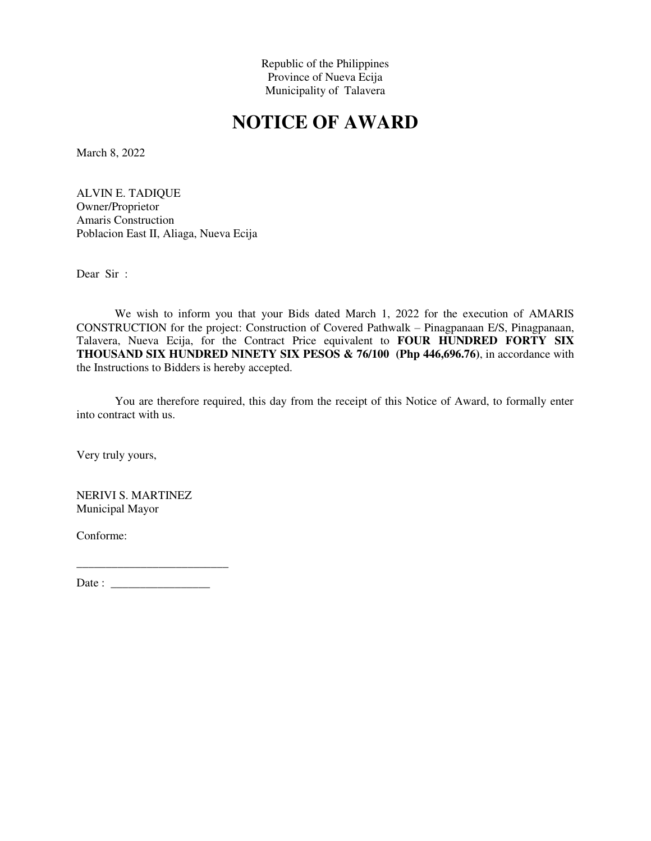## **NOTICE OF AWARD**

March 8, 2022

ALVIN E. TADIQUE Owner/Proprietor Amaris Construction Poblacion East II, Aliaga, Nueva Ecija

Dear Sir :

We wish to inform you that your Bids dated March 1, 2022 for the execution of AMARIS CONSTRUCTION for the project: Construction of Covered Pathwalk – Pinagpanaan E/S, Pinagpanaan, Talavera, Nueva Ecija, for the Contract Price equivalent to **FOUR HUNDRED FORTY SIX THOUSAND SIX HUNDRED NINETY SIX PESOS & 76/100 (Php 446,696.76)**, in accordance with the Instructions to Bidders is hereby accepted.

You are therefore required, this day from the receipt of this Notice of Award, to formally enter into contract with us.

Very truly yours,

NERIVI S. MARTINEZ Municipal Mayor

Conforme: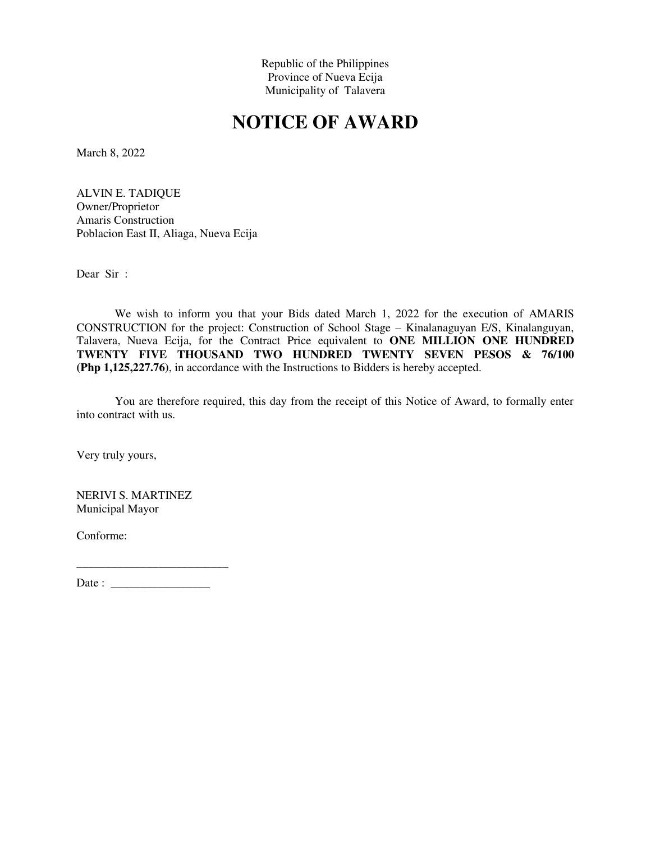## **NOTICE OF AWARD**

March 8, 2022

ALVIN E. TADIQUE Owner/Proprietor Amaris Construction Poblacion East II, Aliaga, Nueva Ecija

Dear Sir :

We wish to inform you that your Bids dated March 1, 2022 for the execution of AMARIS CONSTRUCTION for the project: Construction of School Stage – Kinalanaguyan E/S, Kinalanguyan, Talavera, Nueva Ecija, for the Contract Price equivalent to **ONE MILLION ONE HUNDRED TWENTY FIVE THOUSAND TWO HUNDRED TWENTY SEVEN PESOS & 76/100 (Php 1,125,227.76)**, in accordance with the Instructions to Bidders is hereby accepted.

You are therefore required, this day from the receipt of this Notice of Award, to formally enter into contract with us.

Very truly yours,

NERIVI S. MARTINEZ Municipal Mayor

Conforme: